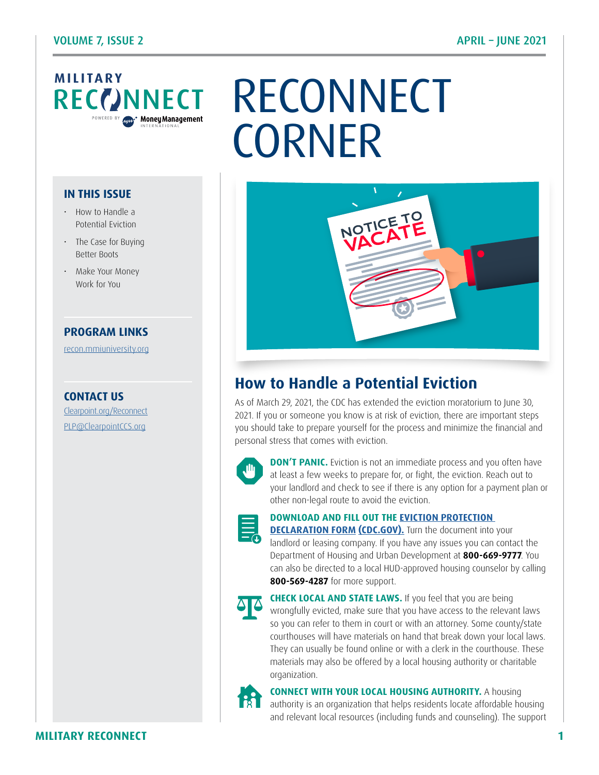# **MILITARY**<br>**RECCONNECT**

#### **IN THIS ISSUE**

- How to Handle a Potential Eviction
- The Case for Buying Better Boots
- Make Your Money Work for You

#### **PROGRAM LINKS**

[recon.mmiuniversity.org](https://recon.mmiuniversity.org/login/index.php)

**CONTACT US** C[learpoint.org/Reconnect](http://www.clearpoint.org/reconnect) PL[P@ClearpointCCS.org](mailto:plp%40clearpointccs.org?subject=)

# NNECT RECONNECT **CORNER**



# **How to Handle a Potential Eviction**

As of March 29, 2021, the CDC has extended the eviction moratorium to June 30, 2021. If you or someone you know is at risk of eviction, there are important steps you should take to prepare yourself for the process and minimize the financial and personal stress that comes with eviction.



**DON'T PANIC.** Eviction is not an immediate process and you often have at least a few weeks to prepare for, or fight, the eviction. Reach out to your landlord and check to see if there is any option for a payment plan or other non-legal route to avoid the eviction.



**DOWNLOAD AND FILL OUT THE [EVICTION PROTECTION](https://www.cdc.gov/coronavirus/2019-ncov/downloads/EvictionDeclare_d508.pdf)** 

**[DECLARATION FORM](https://www.cdc.gov/coronavirus/2019-ncov/downloads/EvictionDeclare_d508.pdf) [\(CDC.GOV\).](https://www.cdc.gov/coronavirus/2019-ncov/downloads/EvictionDeclare_d508.pdf)** Turn the document into your landlord or leasing company. If you have any issues you can contact the Department of Housing and Urban Development at **800-669-9777**. You can also be directed to a local HUD-approved housing counselor by calling **800-569-4287** for more support.



**CHECK LOCAL AND STATE LAWS.** If you feel that you are being wrongfully evicted, make sure that you have access to the relevant laws so you can refer to them in court or with an attorney. Some county/state courthouses will have materials on hand that break down your local laws. They can usually be found online or with a clerk in the courthouse. These materials may also be offered by a local housing authority or charitable organization.



**CONNECT WITH YOUR LOCAL HOUSING AUTHORITY.** A housing

authority is an organization that helps residents locate affordable housing and relevant local resources (including funds and counseling). The support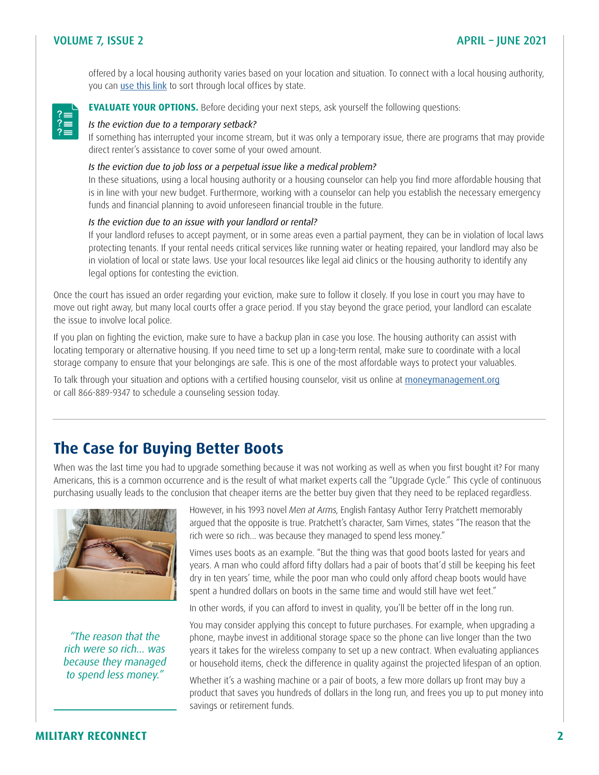#### VOLUME 7, ISSUE 2 APRIL – JUNE 2021

offered by a local housing authority varies based on your location and situation. To connect with a local housing authority, you can [use this link](https://www.hud.gov/program_offices/field_policy_mgt/localoffices) to sort through local offices by state.



**EVALUATE YOUR OPTIONS.** Before deciding your next steps, ask yourself the following questions:

#### *Is the eviction due to a temporary setback?*

If something has interrupted your income stream, but it was only a temporary issue, there are programs that may provide direct renter's assistance to cover some of your owed amount.

#### *Is the eviction due to job loss or a perpetual issue like a medical problem?*

In these situations, using a local housing authority or a housing counselor can help you find more affordable housing that is in line with your new budget. Furthermore, working with a counselor can help you establish the necessary emergency funds and financial planning to avoid unforeseen financial trouble in the future.

#### *Is the eviction due to an issue with your landlord or rental?*

If your landlord refuses to accept payment, or in some areas even a partial payment, they can be in violation of local laws protecting tenants. If your rental needs critical services like running water or heating repaired, your landlord may also be in violation of local or state laws. Use your local resources like legal aid clinics or the housing authority to identify any legal options for contesting the eviction.

Once the court has issued an order regarding your eviction, make sure to follow it closely. If you lose in court you may have to move out right away, but many local courts offer a grace period. If you stay beyond the grace period, your landlord can escalate the issue to involve local police.

If you plan on fighting the eviction, make sure to have a backup plan in case you lose. The housing authority can assist with locating temporary or alternative housing. If you need time to set up a long-term rental, make sure to coordinate with a local storage company to ensure that your belongings are safe. This is one of the most affordable ways to protect your valuables.

To talk through your situation and options with a certified housing counselor, visit us online at [moneymanagement.org](https://www.moneymanagement.org/) or call 866-889-9347 to schedule a counseling session today.

### **The Case for Buying Better Boots**

When was the last time you had to upgrade something because it was not working as well as when you first bought it? For many Americans, this is a common occurrence and is the result of what market experts call the "Upgrade Cycle." This cycle of continuous purchasing usually leads to the conclusion that cheaper items are the better buy given that they need to be replaced regardless.



*"The reason that the rich were so rich… was because they managed to spend less money."* 

However, in his 1993 novel *Men at Arms*, English Fantasy Author Terry Pratchett memorably argued that the opposite is true. Pratchett's character, Sam Vimes, states "The reason that the rich were so rich… was because they managed to spend less money."

Vimes uses boots as an example. "But the thing was that good boots lasted for years and years. A man who could afford fifty dollars had a pair of boots that'd still be keeping his feet dry in ten years' time, while the poor man who could only afford cheap boots would have spent a hundred dollars on boots in the same time and would still have wet feet."

In other words, if you can afford to invest in quality, you'll be better off in the long run.

You may consider applying this concept to future purchases. For example, when upgrading a phone, maybe invest in additional storage space so the phone can live longer than the two years it takes for the wireless company to set up a new contract. When evaluating appliances or household items, check the difference in quality against the projected lifespan of an option.

Whether it's a washing machine or a pair of boots, a few more dollars up front may buy a product that saves you hundreds of dollars in the long run, and frees you up to put money into savings or retirement funds.

#### **MILITARY RECONNECT 2**